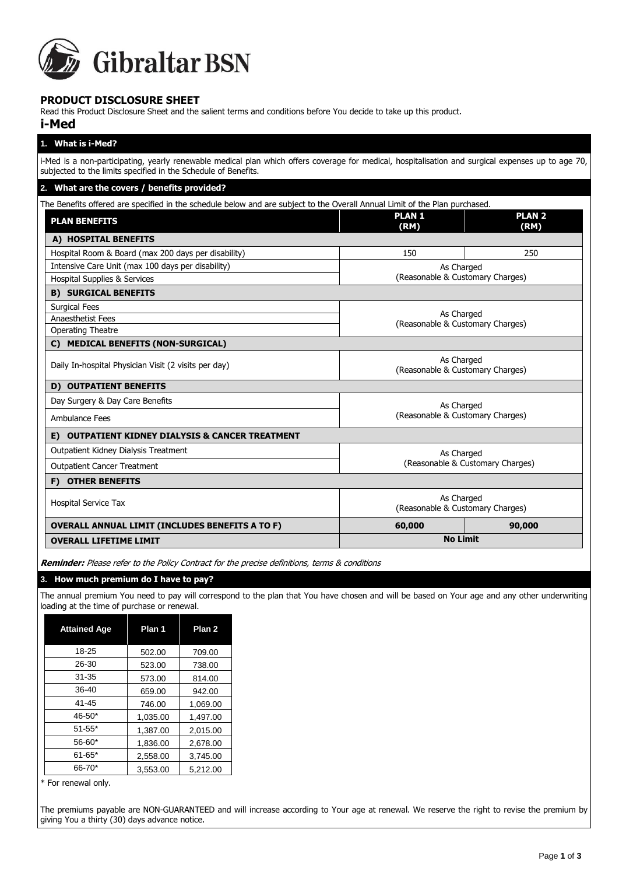

# **PRODUCT DISCLOSURE SHEET**

Read this Product Disclosure Sheet and the salient terms and conditions before You decide to take up this product.

# **i-Med**

| 1. What is i-Med?                                                                                                                                                                                                    |                                                |                       |
|----------------------------------------------------------------------------------------------------------------------------------------------------------------------------------------------------------------------|------------------------------------------------|-----------------------|
| i-Med is a non-participating, yearly renewable medical plan which offers coverage for medical, hospitalisation and surgical expenses up to age 70,<br>subjected to the limits specified in the Schedule of Benefits. |                                                |                       |
| 2. What are the covers / benefits provided?                                                                                                                                                                          |                                                |                       |
| The Benefits offered are specified in the schedule below and are subject to the Overall Annual Limit of the Plan purchased.                                                                                          |                                                |                       |
| <b>PLAN BENEFITS</b>                                                                                                                                                                                                 | <b>PLAN1</b><br>(RM)                           | <b>PLAN 2</b><br>(RM) |
| A) HOSPITAL BENEFITS                                                                                                                                                                                                 |                                                |                       |
| Hospital Room & Board (max 200 days per disability)                                                                                                                                                                  | 150                                            | 250                   |
| Intensive Care Unit (max 100 days per disability)                                                                                                                                                                    | As Charged                                     |                       |
| Hospital Supplies & Services                                                                                                                                                                                         | (Reasonable & Customary Charges)               |                       |
| <b>B) SURGICAL BENEFITS</b>                                                                                                                                                                                          |                                                |                       |
| <b>Surgical Fees</b>                                                                                                                                                                                                 |                                                |                       |
| <b>Anaesthetist Fees</b>                                                                                                                                                                                             | As Charged<br>(Reasonable & Customary Charges) |                       |
| Operating Theatre                                                                                                                                                                                                    |                                                |                       |
| C) MEDICAL BENEFITS (NON-SURGICAL)                                                                                                                                                                                   |                                                |                       |
| Daily In-hospital Physician Visit (2 visits per day)                                                                                                                                                                 | As Charged<br>(Reasonable & Customary Charges) |                       |
| <b>OUTPATIENT BENEFITS</b><br>D)                                                                                                                                                                                     |                                                |                       |
| Day Surgery & Day Care Benefits                                                                                                                                                                                      | As Charged                                     |                       |
| Ambulance Fees                                                                                                                                                                                                       | (Reasonable & Customary Charges)               |                       |
| <b>OUTPATIENT KIDNEY DIALYSIS &amp; CANCER TREATMENT</b><br>E)                                                                                                                                                       |                                                |                       |
| Outpatient Kidney Dialysis Treatment                                                                                                                                                                                 | As Charged                                     |                       |
| <b>Outpatient Cancer Treatment</b>                                                                                                                                                                                   | (Reasonable & Customary Charges)               |                       |
| F) OTHER BENEFITS                                                                                                                                                                                                    |                                                |                       |
| <b>Hospital Service Tax</b>                                                                                                                                                                                          | As Charged<br>(Reasonable & Customary Charges) |                       |
| <b>OVERALL ANNUAL LIMIT (INCLUDES BENEFITS A TO F)</b>                                                                                                                                                               | 60,000                                         | 90,000                |
| <b>OVERALL LIFETIME LIMIT</b>                                                                                                                                                                                        | <b>No Limit</b>                                |                       |

**Reminder:** Please refer to the Policy Contract for the precise definitions, terms & conditions

# **3. How much premium do I have to pay?**

The annual premium You need to pay will correspond to the plan that You have chosen and will be based on Your age and any other underwriting loading at the time of purchase or renewal.

| <b>Attained Age</b> | Plan 1   | Plan <sub>2</sub> |
|---------------------|----------|-------------------|
| 18-25               | 502.00   | 709.00            |
| 26-30               | 523.00   | 738.00            |
| 31-35               | 573.00   | 814.00            |
| 36-40               | 659.00   | 942.00            |
| 41-45               | 746.00   | 1,069.00          |
| $46 - 50*$          | 1,035.00 | 1,497.00          |
| $51 - 55*$          | 1.387.00 | 2,015.00          |
| $56 - 60*$          | 1.836.00 | 2.678.00          |
| $61 - 65*$          | 2.558.00 | 3.745.00          |
| 66-70*              | 3.553.00 | 5.212.00          |

\* For renewal only.

The premiums payable are NON-GUARANTEED and will increase according to Your age at renewal. We reserve the right to revise the premium by giving You a thirty (30) days advance notice.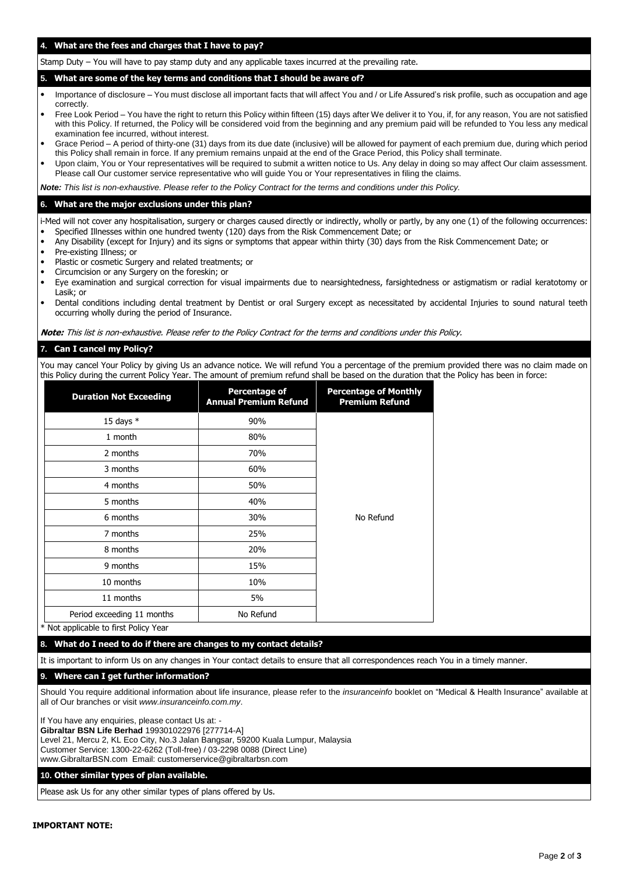# **4. What are the fees and charges that I have to pay?**

Stamp Duty – You will have to pay stamp duty and any applicable taxes incurred at the prevailing rate.

#### **5. What are some of the key terms and conditions that I should be aware of?**

- Importance of disclosure You must disclose all important facts that will affect You and / or Life Assured's risk profile, such as occupation and age **correctly**
- Free Look Period You have the right to return this Policy within fifteen (15) days after We deliver it to You, if, for any reason, You are not satisfied with this Policy. If returned, the Policy will be considered void from the beginning and any premium paid will be refunded to You less any medical examination fee incurred, without interest.
- Grace Period A period of thirty-one (31) days from its due date (inclusive) will be allowed for payment of each premium due, during which period this Policy shall remain in force. If any premium remains unpaid at the end of the Grace Period, this Policy shall terminate.
- Upon claim, You or Your representatives will be required to submit a written notice to Us. Any delay in doing so may affect Our claim assessment. Please call Our customer service representative who will guide You or Your representatives in filing the claims.

*Note: This list is non-exhaustive. Please refer to the Policy Contract for the terms and conditions under this Policy.*

#### **6. What are the major exclusions under this plan?**

i-Med will not cover any hospitalisation, surgery or charges caused directly or indirectly, wholly or partly, by any one (1) of the following occurrences: • Specified Illnesses within one hundred twenty (120) days from the Risk Commencement Date; or

- Any Disability (except for Injury) and its signs or symptoms that appear within thirty (30) days from the Risk Commencement Date; or
- Pre-existing Illness; or
- Plastic or cosmetic Surgery and related treatments; or
- Circumcision or any Surgery on the foreskin; or
- Eye examination and surgical correction for visual impairments due to nearsightedness, farsightedness or astigmatism or radial keratotomy or Lasik; or
- Dental conditions including dental treatment by Dentist or oral Surgery except as necessitated by accidental Injuries to sound natural teeth occurring wholly during the period of Insurance.

**Note:** This list is non-exhaustive. Please refer to the Policy Contract for the terms and conditions under this Policy.

#### **7. Can I cancel my Policy?**

You may cancel Your Policy by giving Us an advance notice. We will refund You a percentage of the premium provided there was no claim made on this Policy during the current Policy Year. The amount of premium refund shall be based on the duration that the Policy has been in force:

| <b>Duration Not Exceeding</b> | <b>Percentage of</b><br><b>Annual Premium Refund</b> | <b>Percentage of Monthly</b><br><b>Premium Refund</b> |
|-------------------------------|------------------------------------------------------|-------------------------------------------------------|
| 15 days $*$                   | 90%                                                  |                                                       |
| 1 month                       | 80%                                                  |                                                       |
| 2 months                      | 70%                                                  |                                                       |
| 3 months                      | 60%                                                  |                                                       |
| 4 months                      | 50%                                                  |                                                       |
| 5 months                      | 40%                                                  | No Refund                                             |
| 6 months                      | 30%                                                  |                                                       |
| 7 months                      | 25%                                                  |                                                       |
| 8 months                      | 20%                                                  |                                                       |
| 9 months                      | 15%                                                  |                                                       |
| 10 months                     | 10%                                                  |                                                       |
| 11 months                     | 5%                                                   |                                                       |
| Period exceeding 11 months    | No Refund                                            |                                                       |

\* Not applicable to first Policy Year

#### **8. What do I need to do if there are changes to my contact details?**

It is important to inform Us on any changes in Your contact details to ensure that all correspondences reach You in a timely manner.

### **9. Where can I get further information?**

Should You require additional information about life insurance, please refer to the *insuranceinfo* booklet on "Medical & Health Insurance" available at all of Our branches or visit *www.insuranceinfo.com.my*.

If You have any enquiries, please contact Us at: -**Gibraltar BSN Life Berhad** 199301022976 [277714-A] Level 21, Mercu 2, KL Eco City, No.3 Jalan Bangsar, 59200 Kuala Lumpur, Malaysia Customer Service: 1300-22-6262 (Toll-free) / 03-2298 0088 (Direct Line) www.GibraltarBSN.com Email: customerservice@gibraltarbsn.com

#### **10. Other similar types of plan available.**

Please ask Us for any other similar types of plans offered by Us.